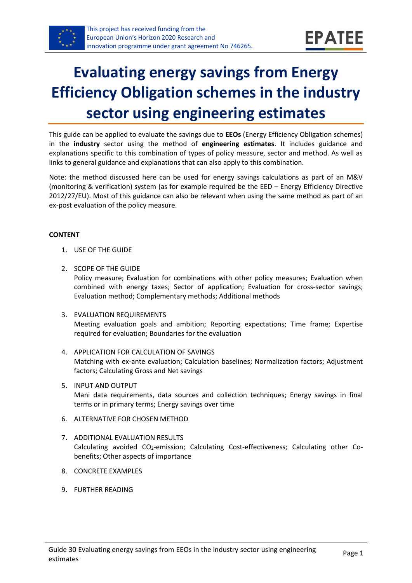

# **Evaluating energy savings from Energy Efficiency Obligation schemes in the industry sector using engineering estimates**

This guide can be applied to evaluate the savings due to **EEOs** (Energy Efficiency Obligation schemes) in the **industry** sector using the method of **engineering estimates**. It includes guidance and explanations specific to this combination of types of policy measure, sector and method. As well as links to general guidance and explanations that can also apply to this combination.

Note: the method discussed here can be used for energy savings calculations as part of an M&V (monitoring & verification) system (as for example required be the EED – Energy Efficiency Directive 2012/27/EU). Most of this guidance can also be relevant when using the same method as part of an ex-post evaluation of the policy measure.

#### **CONTENT**

- 1. USE OF THE GUIDE
- <span id="page-0-1"></span>2. SCOPE OF THE GUIDE

Policy measure; Evaluation for combinations with other policy measures; Evaluation when combined with energy taxes; Sector of application; Evaluation for cross-sector savings; Evaluation method; Complementary methods; Additional methods

- <span id="page-0-2"></span>3. EVALUATION REQUIREMENTS Meeting evaluation goals and ambition; Reporting expectations; Time frame; Expertise required for evaluation; Boundaries for the evaluation
- <span id="page-0-3"></span>4. APPLICATION FOR CALCULATION OF SAVINGS Matching with ex-ante evaluation; Calculation baselines; Normalization factors; Adjustment factors; Calculating Gross and Net savings
- <span id="page-0-4"></span>5. INPUT AND OUTPUT Mani data requirements, data sources and collection techniques; Energy savings in final terms or in primary terms; Energy savings over time
- <span id="page-0-0"></span>6. ALTERNATIVE FOR CHOSEN METHOD
- <span id="page-0-5"></span>7. ADDITIONAL EVALUATION RESULTS Calculating avoided CO2-emission; Calculating Cost-effectiveness; Calculating other Cobenefits; Other aspects of importance
- <span id="page-0-6"></span>8. CONCRETE EXAMPLES
- <span id="page-0-7"></span>9. FURTHER READING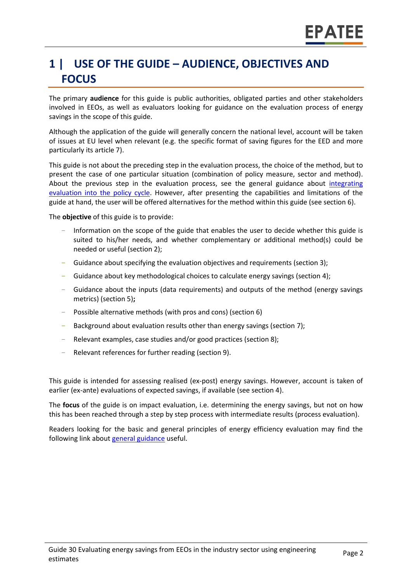## **1 | USE OF THE GUIDE – AUDIENCE, OBJECTIVES AND FOCUS**

The primary **audience** for this guide is public authorities, obligated parties and other stakeholders involved in EEOs, as well as evaluators looking for guidance on the evaluation process of energy savings in the scope of this guide.

Although the application of the guide will generally concern the national level, account will be taken of issues at EU level when relevant (e.g. the specific format of saving figures for the EED and more particularly its article 7).

This guide is not about the preceding step in the evaluation process, the choice of the method, but to present the case of one particular situation (combination of policy measure, sector and method). About the previous step in the evaluation process, see the general guidance about *integrating* [evaluation into the policy cycle.](https://www.epatee-toolbox.eu/wp-content/uploads/2019/04/epatee_integrating_evaluation_into_policy_cycle.pdf) However, after presenting the capabilities and limitations of the guide at hand, the user will be offered alternatives for the method within this guide (see section [6\)](#page-0-0).

The **objective** of this guide is to provide:

- Information on the scope of the guide that enables the user to decide whether this guide is suited to his/her needs, and whether complementary or additional method(s) could be needed or useful (sectio[n 2\)](#page-0-1);
- Guidance about specifying the evaluation objectives and requirements (section [3\)](#page-0-2);
- Guidance about key methodological choices to calculate energy savings (section [4\)](#page-0-3);
- Guidance about the inputs (data requirements) and outputs of the method (energy savings metrics) (sectio[n 5\)](#page-0-4)**;**
- Possible alternative methods (with pros and cons) (section [6\)](#page-0-0)
- Background about evaluation results other than energy savings (sectio[n 7\)](#page-0-5);
- Relevant examples, case studies and/or good practices (section [8\)](#page-0-6);
- Relevant references for further reading (section [9\)](#page-0-7).

This guide is intended for assessing realised (ex-post) energy savings. However, account is taken of earlier (ex-ante) evaluations of expected savings, if available (see section [4\)](#page-0-3).

The **focus** of the guide is on impact evaluation, i.e. determining the energy savings, but not on how this has been reached through a step by step process with intermediate results (process evaluation).

Readers looking for the basic and general principles of energy efficiency evaluation may find the following link about [general guidance](https://www.epatee-toolbox.eu/evaluation-principles-and-methods/epatee-topical-case-study-linkage-between-mv-tools-data-collection-and-evaluation-complementary-analysis/) useful.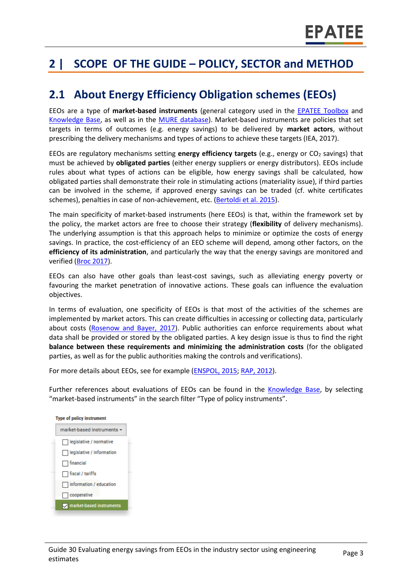## **2 | SCOPE OF THE GUIDE – POLICY, SECTOR and METHOD**

### **2.1 About Energy Efficiency Obligation schemes (EEOs)**

EEOs are a type of **market-based instruments** (general category used in the [EPATEE Toolbox](https://www.epatee-toolbox.eu/) and [Knowledge Base,](https://epatee.eu/knowledge-base) as well as in the [MURE database\)](http://www.measures-odyssee-mure.eu/). Market-based instruments are policies that set targets in terms of outcomes (e.g. energy savings) to be delivered by **market actors**, without prescribing the delivery mechanisms and types of actions to achieve these targets (IEA, 2017).

EEOs are regulatory mechanisms setting **energy efficiency targets** (e.g., energy or CO<sup>2</sup> savings) that must be achieved by **obligated parties** (either energy suppliers or energy distributors). EEOs include rules about what types of actions can be eligible, how energy savings shall be calculated, how obligated parties shall demonstrate their role in stimulating actions (materiality issue), if third parties can be involved in the scheme, if approved energy savings can be traded (cf. white certificates schemes), penalties in case of non-achievement, etc. [\(Bertoldi et al. 2015\)](https://www.eceee.org/library/conference_proceedings/eceee_Summer_Studies/2017/7-appliances-products-lighting-and-ict/using-webcrawler-techniques-for-improved-market-surveillance-new-possibilities-for-compliance-and-energy-policy/).

The main specificity of market-based instruments (here EEOs) is that, within the framework set by the policy, the market actors are free to choose their strategy (**flexibility** of delivery mechanisms). The underlying assumption is that this approach helps to minimize or optimize the costs of energy savings. In practice, the cost-efficiency of an EEO scheme will depend, among other factors, on the **efficiency of its administration**, and particularly the way that the energy savings are monitored and verified [\(Broc 2017\)](http://atee.fr/sites/default/files/part_6_2017_snapshot_of_eeos_in_europe.pdf).

EEOs can also have other goals than least-cost savings, such as alleviating energy poverty or favouring the market penetration of innovative actions. These goals can influence the evaluation objectives.

In terms of evaluation, one specificity of EEOs is that most of the activities of the schemes are implemented by market actors. This can create difficulties in accessing or collecting data, particularly about costs [\(Rosenow and Bayer, 2017\)](https://www.eceee.org/library/conference_proceedings/eceee_Summer_Studies/2017/7-appliances-products-lighting-and-ict/using-webcrawler-techniques-for-improved-market-surveillance-new-possibilities-for-compliance-and-energy-policy/). Public authorities can enforce requirements about what data shall be provided or stored by the obligated parties. A key design issue is thus to find the right **balance between these requirements and minimizing the administration costs** (for the obligated parties, as well as for the public authorities making the controls and verifications).

For more details about EEOs, see for example [\(ENSPOL,](http://enspol.eu/sites/default/files/results/D2.1.1%20Report%20on%20existing%20and%20planned%20EEOs%20in%20the%20EU%20-%20Part%20I%20Evaluation%20of%20existing%20schemes.pdf?v=2) 2015; RAP, [2012\)](https://www.raponline.org/knowledge-center/best-practices-in-designing-and-implementing-energy-efficiency-obligation-schemes/).

Further references about evaluations of EEOs can be found in the [Knowledge Base,](https://epatee.eu/knowledge-base) by selecting "market-based instruments" in the search filter "Type of policy instruments".

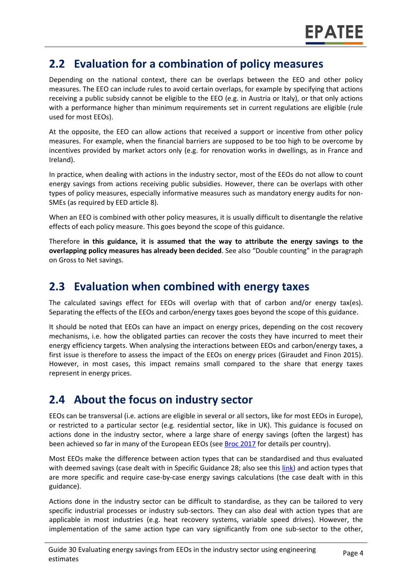#### **2.2 Evaluation for a combination of policy measures**

Depending on the national context, there can be overlaps between the EEO and other policy measures. The EEO can include rules to avoid certain overlaps, for example by specifying that actions receiving a public subsidy cannot be eligible to the EEO (e.g. in Austria or Italy), or that only actions with a performance higher than minimum requirements set in current regulations are eligible (rule used for most EEOs).

At the opposite, the EEO can allow actions that received a support or incentive from other policy measures. For example, when the financial barriers are supposed to be too high to be overcome by incentives provided by market actors only (e.g. for renovation works in dwellings, as in France and Ireland).

In practice, when dealing with actions in the industry sector, most of the EEOs do not allow to count energy savings from actions receiving public subsidies. However, there can be overlaps with other types of policy measures, especially informative measures such as mandatory energy audits for non-SMEs (as required by EED article 8).

When an EEO is combined with other policy measures, it is usually difficult to disentangle the relative effects of each policy measure. This goes beyond the scope of this guidance.

Therefore **in this guidance, it is assumed that the way to attribute the energy savings to the overlapping policy measures has already been decided**. See also "Double counting" in the paragraph on Gross to Net savings.

#### **2.3 Evaluation when combined with energy taxes**

The calculated savings effect for EEOs will overlap with that of carbon and/or energy tax(es). Separating the effects of the EEOs and carbon/energy taxes goes beyond the scope of this guidance.

It should be noted that EEOs can have an impact on energy prices, depending on the cost recovery mechanisms, i.e. how the obligated parties can recover the costs they have incurred to meet their energy efficiency targets. When analysing the interactions between EEOs and carbon/energy taxes, a first issue is therefore to assess the impact of the EEOs on energy prices (Giraudet and Finon 2015). However, in most cases, this impact remains small compared to the share that energy taxes represent in energy prices.

### **2.4 About the focus on industry sector**

EEOs can be transversal (i.e. actions are eligible in several or all sectors, like for most EEOs in Europe), or restricted to a particular sector (e.g. residential sector, like in UK). This guidance is focused on actions done in the industry sector, where a large share of energy savings (often the largest) has been achieved so far in many of the European EEOs (se[e Broc 2017](http://atee.fr/sites/default/files/part_6_2017_snapshot_of_eeos_in_europe.pdf) for details per country).

Most EEOs make the difference between action types that can be standardised and thus evaluated with deemed savings (case dealt with in Specific Guidance 28; also see thi[s link\)](https://www.gov.uk/government/publications/evaluation-of-the-crc-energy-efficiency-scheme) and action types that are more specific and require case-by-case energy savings calculations (the case dealt with in this guidance).

Actions done in the industry sector can be difficult to standardise, as they can be tailored to very specific industrial processes or industry sub-sectors. They can also deal with action types that are applicable in most industries (e.g. heat recovery systems, variable speed drives). However, the implementation of the same action type can vary significantly from one sub-sector to the other,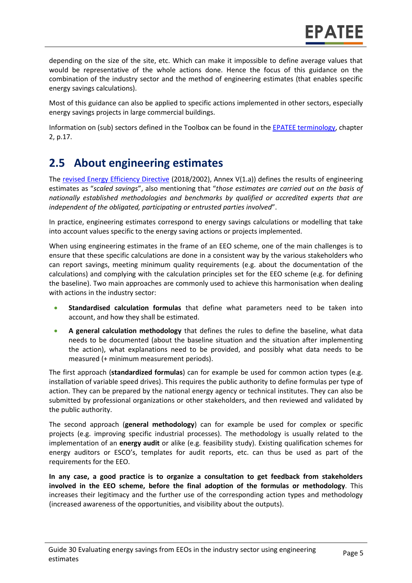depending on the size of the site, etc. Which can make it impossible to define average values that would be representative of the whole actions done. Hence the focus of this guidance on the combination of the industry sector and the method of engineering estimates (that enables specific energy savings calculations).

Most of this guidance can also be applied to specific actions implemented in other sectors, especially energy savings projects in large commercial buildings.

Information on (sub) sectors defined in the Toolbox can be found in the [EPATEE terminology,](https://www.epatee-toolbox.eu/wp-content/uploads/2018/10/Definitions-and-typologies-related-to-energy-savings-evaluation.pdf) chapter 2, p.17.

### **2.5 About engineering estimates**

The [revised Energy Efficiency Directive](https://eur-lex.europa.eu/legal-content/EN/TXT/PDF/?uri=CELEX:32018L2002&from=EN) (2018/2002), Annex V(1.a)) defines the results of engineering estimates as "*scaled savings*", also mentioning that "*those estimates are carried out on the basis of nationally established methodologies and benchmarks by qualified or accredited experts that are independent of the obligated, participating or entrusted parties involved*".

In practice, engineering estimates correspond to energy savings calculations or modelling that take into account values specific to the energy saving actions or projects implemented.

When using engineering estimates in the frame of an EEO scheme, one of the main challenges is to ensure that these specific calculations are done in a consistent way by the various stakeholders who can report savings, meeting minimum quality requirements (e.g. about the documentation of the calculations) and complying with the calculation principles set for the EEO scheme (e.g. for defining the baseline). Two main approaches are commonly used to achieve this harmonisation when dealing with actions in the industry sector:

- **Standardised calculation formulas** that define what parameters need to be taken into account, and how they shall be estimated.
- **A general calculation methodology** that defines the rules to define the baseline, what data needs to be documented (about the baseline situation and the situation after implementing the action), what explanations need to be provided, and possibly what data needs to be measured (+ minimum measurement periods).

The first approach (**standardized formulas**) can for example be used for common action types (e.g. installation of variable speed drives). This requires the public authority to define formulas per type of action. They can be prepared by the national energy agency or technical institutes. They can also be submitted by professional organizations or other stakeholders, and then reviewed and validated by the public authority.

The second approach (**general methodology**) can for example be used for complex or specific projects (e.g. improving specific industrial processes). The methodology is usually related to the implementation of an **energy audit** or alike (e.g. feasibility study). Existing qualification schemes for energy auditors or ESCO's, templates for audit reports, etc. can thus be used as part of the requirements for the EEO.

**In any case, a good practice is to organize a consultation to get feedback from stakeholders involved in the EEO scheme, before the final adoption of the formulas or methodology**. This increases their legitimacy and the further use of the corresponding action types and methodology (increased awareness of the opportunities, and visibility about the outputs).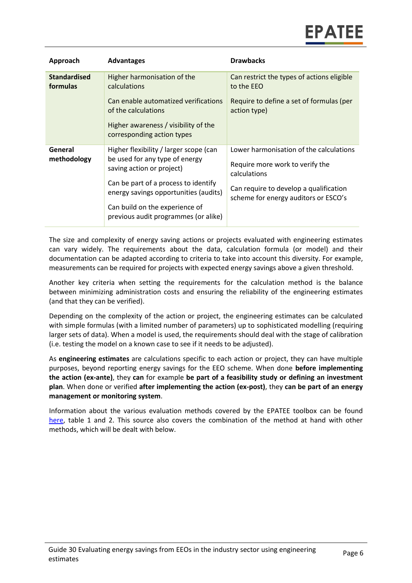| Approach                        | <b>Advantages</b>                                                                                                                                                                                                                                                | <b>Drawbacks</b>                                                                                                                                                             |
|---------------------------------|------------------------------------------------------------------------------------------------------------------------------------------------------------------------------------------------------------------------------------------------------------------|------------------------------------------------------------------------------------------------------------------------------------------------------------------------------|
| <b>Standardised</b><br>formulas | Higher harmonisation of the<br>calculations<br>Can enable automatized verifications<br>of the calculations                                                                                                                                                       | Can restrict the types of actions eligible<br>to the EEO<br>Require to define a set of formulas (per<br>action type)                                                         |
|                                 | Higher awareness / visibility of the<br>corresponding action types                                                                                                                                                                                               |                                                                                                                                                                              |
| General<br>methodology          | Higher flexibility / larger scope (can<br>be used for any type of energy<br>saving action or project)<br>Can be part of a process to identify<br>energy savings opportunities (audits)<br>Can build on the experience of<br>previous audit programmes (or alike) | Lower harmonisation of the calculations<br>Require more work to verify the<br>calculations<br>Can require to develop a qualification<br>scheme for energy auditors or ESCO's |

The size and complexity of energy saving actions or projects evaluated with engineering estimates can vary widely. The requirements about the data, calculation formula (or model) and their documentation can be adapted according to criteria to take into account this diversity. For example, measurements can be required for projects with expected energy savings above a given threshold.

Another key criteria when setting the requirements for the calculation method is the balance between minimizing administration costs and ensuring the reliability of the engineering estimates (and that they can be verified).

Depending on the complexity of the action or project, the engineering estimates can be calculated with simple formulas (with a limited number of parameters) up to sophisticated modelling (requiring larger sets of data). When a model is used, the requirements should deal with the stage of calibration (i.e. testing the model on a known case to see if it needs to be adjusted).

As **engineering estimates** are calculations specific to each action or project, they can have multiple purposes, beyond reporting energy savings for the EEO scheme. When done **before implementing the action (ex-ante)**, they **can** for example **be part of a feasibility study or defining an investment plan**. When done or verified **after implementing the action (ex-post)**, they **can be part of an energy management or monitoring system**.

Information about the various evaluation methods covered by the EPATEE toolbox can be found [here,](https://www.epatee-toolbox.eu/wp-content/uploads/2019/04/Saving_calculation_methods_for_EPATEE_Toobox_2019_04_24.pdf) table 1 and 2. This source also covers the combination of the method at hand with other methods, which will be dealt with below.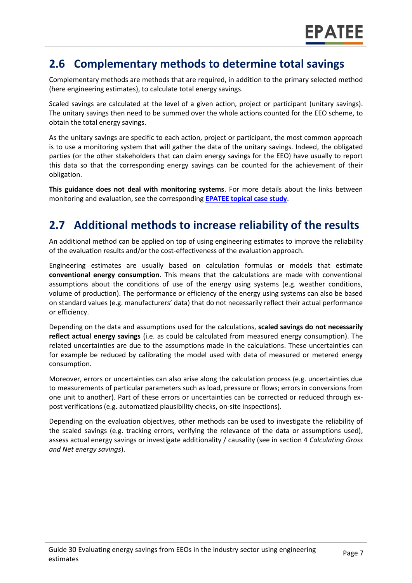#### **2.6 Complementary methods to determine total savings**

Complementary methods are methods that are required, in addition to the primary selected method (here engineering estimates), to calculate total energy savings.

Scaled savings are calculated at the level of a given action, project or participant (unitary savings). The unitary savings then need to be summed over the whole actions counted for the EEO scheme, to obtain the total energy savings.

As the unitary savings are specific to each action, project or participant, the most common approach is to use a monitoring system that will gather the data of the unitary savings. Indeed, the obligated parties (or the other stakeholders that can claim energy savings for the EEO) have usually to report this data so that the corresponding energy savings can be counted for the achievement of their obligation.

**This guidance does not deal with monitoring systems**. For more details about the links between monitoring and evaluation, see the corresponding **EPATEE topical [case study](https://www.epatee-toolbox.eu/evaluation-principles-and-methods/epatee-topical-case-study-linkage-between-mv-tools-data-collection-and-evaluation-complementary-analysis/)**.

## **2.7 Additional methods to increase reliability of the results**

An additional method can be applied on top of using engineering estimates to improve the reliability of the evaluation results and/or the cost-effectiveness of the evaluation approach.

Engineering estimates are usually based on calculation formulas or models that estimate **conventional energy consumption**. This means that the calculations are made with conventional assumptions about the conditions of use of the energy using systems (e.g. weather conditions, volume of production). The performance or efficiency of the energy using systems can also be based on standard values (e.g. manufacturers' data) that do not necessarily reflect their actual performance or efficiency.

Depending on the data and assumptions used for the calculations, **scaled savings do not necessarily reflect actual energy savings** (i.e. as could be calculated from measured energy consumption). The related uncertainties are due to the assumptions made in the calculations. These uncertainties can for example be reduced by calibrating the model used with data of measured or metered energy consumption.

Moreover, errors or uncertainties can also arise along the calculation process (e.g. uncertainties due to measurements of particular parameters such as load, pressure or flows; errors in conversions from one unit to another). Part of these errors or uncertainties can be corrected or reduced through expost verifications (e.g. automatized plausibility checks, on-site inspections).

Depending on the evaluation objectives, other methods can be used to investigate the reliability of the scaled savings (e.g. tracking errors, verifying the relevance of the data or assumptions used), assess actual energy savings or investigate additionality / causality (see in section 4 *Calculating Gross and Net energy savings*).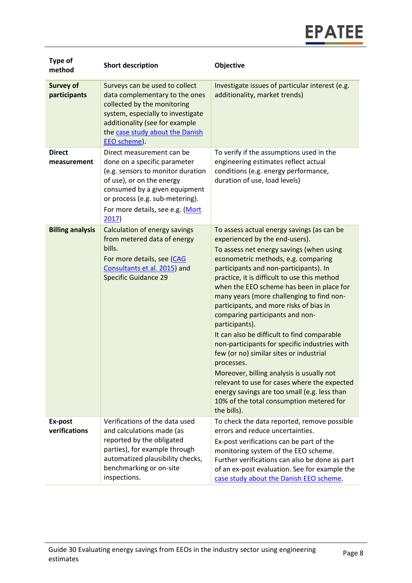

| <b>Type of</b><br>method         | <b>Short description</b>                                                                                                                                                                                                                     | <b>Objective</b>                                                                                                                                                                                                                                                                                                                                                                                                                                                                                                                                                                                                                                                                                                                                                                                                     |
|----------------------------------|----------------------------------------------------------------------------------------------------------------------------------------------------------------------------------------------------------------------------------------------|----------------------------------------------------------------------------------------------------------------------------------------------------------------------------------------------------------------------------------------------------------------------------------------------------------------------------------------------------------------------------------------------------------------------------------------------------------------------------------------------------------------------------------------------------------------------------------------------------------------------------------------------------------------------------------------------------------------------------------------------------------------------------------------------------------------------|
| <b>Survey of</b><br>participants | Surveys can be used to collect<br>data complementary to the ones<br>collected by the monitoring<br>system, especially to investigate<br>additionality (see for example<br>the case study about the Danish<br>EEO scheme).                    | Investigate issues of particular interest (e.g.<br>additionality, market trends)                                                                                                                                                                                                                                                                                                                                                                                                                                                                                                                                                                                                                                                                                                                                     |
| <b>Direct</b><br>measurement     | Direct measurement can be<br>done on a specific parameter<br>(e.g. sensors to monitor duration<br>of use), or on the energy<br>consumed by a given equipment<br>or process (e.g. sub-metering).<br>For more details, see e.g. (Mort<br>2017) | To verify if the assumptions used in the<br>engineering estimates reflect actual<br>conditions (e.g. energy performance,<br>duration of use, load levels)                                                                                                                                                                                                                                                                                                                                                                                                                                                                                                                                                                                                                                                            |
| <b>Billing analysis</b>          | Calculation of energy savings<br>from metered data of energy<br>bills.<br>For more details, see (CAG<br>Consultants et al. 2015) and<br><b>Specific Guidance 29</b>                                                                          | To assess actual energy savings (as can be<br>experienced by the end-users).<br>To assess net energy savings (when using<br>econometric methods, e.g. comparing<br>participants and non-participants). In<br>practice, it is difficult to use this method<br>when the EEO scheme has been in place for<br>many years (more challenging to find non-<br>participants, and more risks of bias in<br>comparing participants and non-<br>participants).<br>It can also be difficult to find comparable<br>non-participants for specific industries with<br>few (or no) similar sites or industrial<br>processes.<br>Moreover, billing analysis is usually not<br>relevant to use for cases where the expected<br>energy savings are too small (e.g. less than<br>10% of the total consumption metered for<br>the bills). |
| Ex-post<br>verifications         | Verifications of the data used<br>and calculations made (as<br>reported by the obligated<br>parties), for example through<br>automatized plausibility checks,<br>benchmarking or on-site<br>inspections.                                     | To check the data reported, remove possible<br>errors and reduce uncertainties.<br>Ex-post verifications can be part of the<br>monitoring system of the EEO scheme.<br>Further verifications can also be done as part<br>of an ex-post evaluation. See for example the<br>case study about the Danish EEO scheme.                                                                                                                                                                                                                                                                                                                                                                                                                                                                                                    |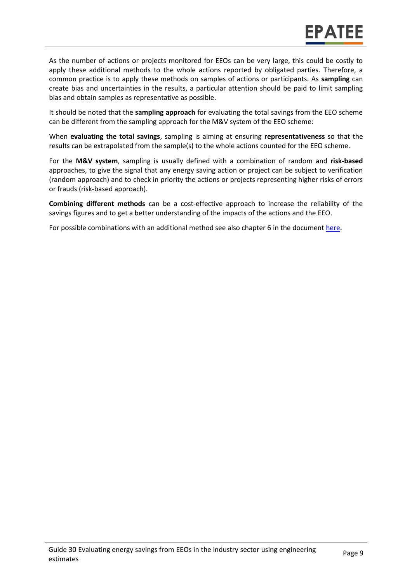As the number of actions or projects monitored for EEOs can be very large, this could be costly to apply these additional methods to the whole actions reported by obligated parties. Therefore, a common practice is to apply these methods on samples of actions or participants. As **sampling** can create bias and uncertainties in the results, a particular attention should be paid to limit sampling bias and obtain samples as representative as possible.

It should be noted that the **sampling approach** for evaluating the total savings from the EEO scheme can be different from the sampling approach for the M&V system of the EEO scheme:

When **evaluating the total savings**, sampling is aiming at ensuring **representativeness** so that the results can be extrapolated from the sample(s) to the whole actions counted for the EEO scheme.

For the **M&V system**, sampling is usually defined with a combination of random and **risk-based** approaches, to give the signal that any energy saving action or project can be subject to verification (random approach) and to check in priority the actions or projects representing higher risks of errors or frauds (risk-based approach).

**Combining different methods** can be a cost-effective approach to increase the reliability of the savings figures and to get a better understanding of the impacts of the actions and the EEO.

For possible combinations with an additional method see also chapter 6 in the document [here.](https://www.epatee-toolbox.eu/evaluation-principles-and-methods/general-principles/saving-calculation-methods-and-their-application-in-the-epatee-toolbox/)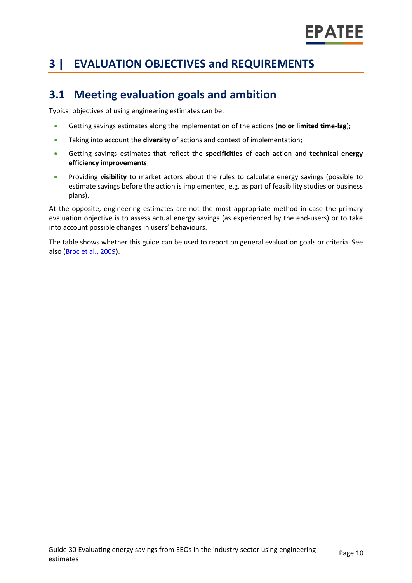## **3 | EVALUATION OBJECTIVES and REQUIREMENTS**

### **3.1 Meeting evaluation goals and ambition**

Typical objectives of using engineering estimates can be:

- Getting savings estimates along the implementation of the actions (**no or limited time-lag**);
- Taking into account the **diversity** of actions and context of implementation;
- Getting savings estimates that reflect the **specificities** of each action and **technical energy efficiency improvements**;
- Providing **visibility** to market actors about the rules to calculate energy savings (possible to estimate savings before the action is implemented, e.g. as part of feasibility studies or business plans).

At the opposite, engineering estimates are not the most appropriate method in case the primary evaluation objective is to assess actual energy savings (as experienced by the end-users) or to take into account possible changes in users' behaviours.

The table shows whether this guide can be used to report on general evaluation goals or criteria. See also [\(Broc et al.,](https://www.epatee-lib.eu/media/docs/D4_EMEEES_Final.pdf) 2009).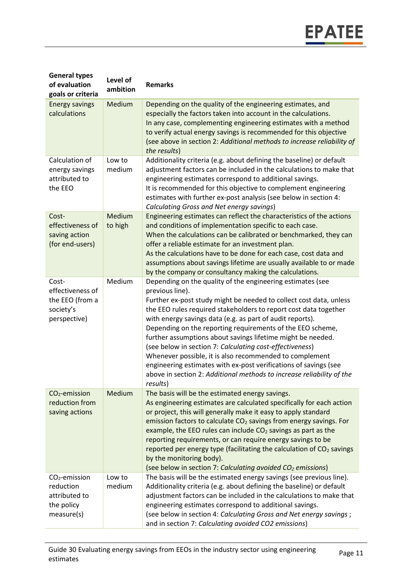| <b>General types</b><br>of evaluation<br>goals or criteria                | Level of<br>ambition | <b>Remarks</b>                                                                                                                                                                                                                                                                                                                                                                                                                                                                                                                                                                                                                                                                                    |
|---------------------------------------------------------------------------|----------------------|---------------------------------------------------------------------------------------------------------------------------------------------------------------------------------------------------------------------------------------------------------------------------------------------------------------------------------------------------------------------------------------------------------------------------------------------------------------------------------------------------------------------------------------------------------------------------------------------------------------------------------------------------------------------------------------------------|
| <b>Energy savings</b><br>calculations                                     | Medium               | Depending on the quality of the engineering estimates, and<br>especially the factors taken into account in the calculations.<br>In any case, complementing engineering estimates with a method<br>to verify actual energy savings is recommended for this objective<br>(see above in section 2: Additional methods to increase reliability of<br>the results)                                                                                                                                                                                                                                                                                                                                     |
| Calculation of<br>energy savings<br>attributed to<br>the EEO              | Low to<br>medium     | Additionality criteria (e.g. about defining the baseline) or default<br>adjustment factors can be included in the calculations to make that<br>engineering estimates correspond to additional savings.<br>It is recommended for this objective to complement engineering<br>estimates with further ex-post analysis (see below in section 4:<br>Calculating Gross and Net energy savings)                                                                                                                                                                                                                                                                                                         |
| Cost-<br>effectiveness of<br>saving action<br>(for end-users)             | Medium<br>to high    | Engineering estimates can reflect the characteristics of the actions<br>and conditions of implementation specific to each case.<br>When the calculations can be calibrated or benchmarked, they can<br>offer a reliable estimate for an investment plan.<br>As the calculations have to be done for each case, cost data and<br>assumptions about savings lifetime are usually available to or made<br>by the company or consultancy making the calculations.                                                                                                                                                                                                                                     |
| Cost-<br>effectiveness of<br>the EEO (from a<br>society's<br>perspective) | Medium               | Depending on the quality of the engineering estimates (see<br>previous line).<br>Further ex-post study might be needed to collect cost data, unless<br>the EEO rules required stakeholders to report cost data together<br>with energy savings data (e.g. as part of audit reports).<br>Depending on the reporting requirements of the EEO scheme,<br>further assumptions about savings lifetime might be needed.<br>(see below in section 7: Calculating cost-effectiveness)<br>Whenever possible, it is also recommended to complement<br>engineering estimates with ex-post verifications of savings (see<br>above in section 2: Additional methods to increase reliability of the<br>results) |
| $CO2$ -emission<br>reduction from<br>saving actions                       | Medium               | The basis will be the estimated energy savings.<br>As engineering estimates are calculated specifically for each action<br>or project, this will generally make it easy to apply standard<br>emission factors to calculate CO <sub>2</sub> savings from energy savings. For<br>example, the EEO rules can include $CO2$ savings as part as the<br>reporting requirements, or can require energy savings to be<br>reported per energy type (facilitating the calculation of CO <sub>2</sub> savings<br>by the monitoring body).<br>(see below in section 7: Calculating avoided CO <sub>2</sub> emissions)                                                                                         |
| $CO2$ -emission<br>reduction<br>attributed to<br>the policy<br>measure(s) | Low to<br>medium     | The basis will be the estimated energy savings (see previous line).<br>Additionality criteria (e.g. about defining the baseline) or default<br>adjustment factors can be included in the calculations to make that<br>engineering estimates correspond to additional savings.<br>(see below in section 4: Calculating Gross and Net energy savings;<br>and in section 7: Calculating avoided CO2 emissions)                                                                                                                                                                                                                                                                                       |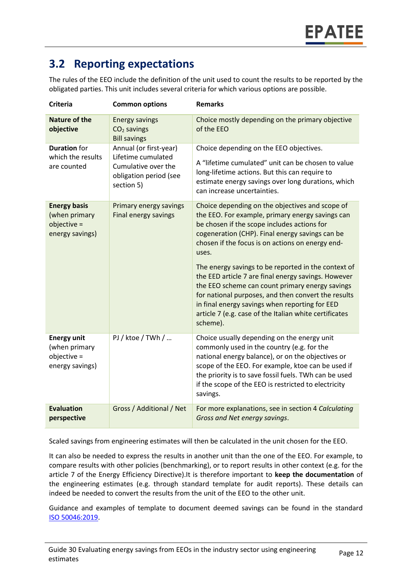## **3.2 Reporting expectations**

The rules of the EEO include the definition of the unit used to count the results to be reported by the obligated parties. This unit includes several criteria for which various options are possible.

| Criteria                                                               | <b>Common options</b>                                                                                       | <b>Remarks</b>                                                                                                                                                                                                                                                                                                                                                                                                                                                                                                                               |
|------------------------------------------------------------------------|-------------------------------------------------------------------------------------------------------------|----------------------------------------------------------------------------------------------------------------------------------------------------------------------------------------------------------------------------------------------------------------------------------------------------------------------------------------------------------------------------------------------------------------------------------------------------------------------------------------------------------------------------------------------|
| <b>Nature of the</b><br>objective                                      | <b>Energy savings</b><br>$CO2$ savings<br><b>Bill savings</b>                                               | Choice mostly depending on the primary objective<br>of the EEO                                                                                                                                                                                                                                                                                                                                                                                                                                                                               |
| <b>Duration</b> for<br>which the results<br>are counted                | Annual (or first-year)<br>Lifetime cumulated<br>Cumulative over the<br>obligation period (see<br>section 5) | Choice depending on the EEO objectives.<br>A "lifetime cumulated" unit can be chosen to value<br>long-lifetime actions. But this can require to<br>estimate energy savings over long durations, which<br>can increase uncertainties.                                                                                                                                                                                                                                                                                                         |
| <b>Energy basis</b><br>(when primary<br>objective =<br>energy savings) | Primary energy savings<br>Final energy savings                                                              | Choice depending on the objectives and scope of<br>the EEO. For example, primary energy savings can<br>be chosen if the scope includes actions for<br>cogeneration (CHP). Final energy savings can be<br>chosen if the focus is on actions on energy end-<br>uses.<br>The energy savings to be reported in the context of<br>the EED article 7 are final energy savings. However<br>the EEO scheme can count primary energy savings<br>for national purposes, and then convert the results<br>in final energy savings when reporting for EED |
|                                                                        |                                                                                                             | article 7 (e.g. case of the Italian white certificates<br>scheme).                                                                                                                                                                                                                                                                                                                                                                                                                                                                           |
| <b>Energy unit</b><br>(when primary<br>objective =<br>energy savings)  | PJ / ktoe / TWh /                                                                                           | Choice usually depending on the energy unit<br>commonly used in the country (e.g. for the<br>national energy balance), or on the objectives or<br>scope of the EEO. For example, ktoe can be used if<br>the priority is to save fossil fuels. TWh can be used<br>if the scope of the EEO is restricted to electricity<br>savings.                                                                                                                                                                                                            |
| <b>Evaluation</b><br>perspective                                       | Gross / Additional / Net                                                                                    | For more explanations, see in section 4 Calculating<br>Gross and Net energy savings.                                                                                                                                                                                                                                                                                                                                                                                                                                                         |

Scaled savings from engineering estimates will then be calculated in the unit chosen for the EEO.

It can also be needed to express the results in another unit than the one of the EEO. For example, to compare results with other policies (benchmarking), or to report results in other context (e.g. for the article 7 of the Energy Efficiency Directive).It is therefore important to **keep the documentation** of the engineering estimates (e.g. through standard template for audit reports). These details can indeed be needed to convert the results from the unit of the EEO to the other unit.

Guidance and examples of template to document deemed savings can be found in the standard [ISO 50046:2019.](https://www.iso.org/standard/67790.html)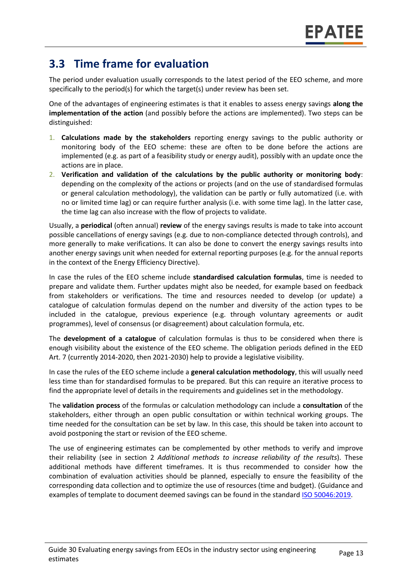### **3.3 Time frame for evaluation**

The period under evaluation usually corresponds to the latest period of the EEO scheme, and more specifically to the period(s) for which the target(s) under review has been set.

One of the advantages of engineering estimates is that it enables to assess energy savings **along the implementation of the action** (and possibly before the actions are implemented). Two steps can be distinguished:

- 1. **Calculations made by the stakeholders** reporting energy savings to the public authority or monitoring body of the EEO scheme: these are often to be done before the actions are implemented (e.g. as part of a feasibility study or energy audit), possibly with an update once the actions are in place.
- 2. **Verification and validation of the calculations by the public authority or monitoring body**: depending on the complexity of the actions or projects (and on the use of standardised formulas or general calculation methodology), the validation can be partly or fully automatized (i.e. with no or limited time lag) or can require further analysis (i.e. with some time lag). In the latter case, the time lag can also increase with the flow of projects to validate.

Usually, a **periodical** (often annual) **review** of the energy savings results is made to take into account possible cancellations of energy savings (e.g. due to non-compliance detected through controls), and more generally to make verifications. It can also be done to convert the energy savings results into another energy savings unit when needed for external reporting purposes (e.g. for the annual reports in the context of the Energy Efficiency Directive).

In case the rules of the EEO scheme include **standardised calculation formulas**, time is needed to prepare and validate them. Further updates might also be needed, for example based on feedback from stakeholders or verifications. The time and resources needed to develop (or update) a catalogue of calculation formulas depend on the number and diversity of the action types to be included in the catalogue, previous experience (e.g. through voluntary agreements or audit programmes), level of consensus (or disagreement) about calculation formula, etc.

The **development of a catalogue** of calculation formulas is thus to be considered when there is enough visibility about the existence of the EEO scheme. The obligation periods defined in the EED Art. 7 (currently 2014-2020, then 2021-2030) help to provide a legislative visibility.

In case the rules of the EEO scheme include a **general calculation methodology**, this will usually need less time than for standardised formulas to be prepared. But this can require an iterative process to find the appropriate level of details in the requirements and guidelines set in the methodology.

The **validation process** of the formulas or calculation methodology can include a **consultation** of the stakeholders, either through an open public consultation or within technical working groups. The time needed for the consultation can be set by law. In this case, this should be taken into account to avoid postponing the start or revision of the EEO scheme.

The use of engineering estimates can be complemented by other methods to verify and improve their reliability (see in section 2 *Additional methods to increase reliability of the results*). These additional methods have different timeframes. It is thus recommended to consider how the combination of evaluation activities should be planned, especially to ensure the feasibility of the corresponding data collection and to optimize the use of resources (time and budget). (Guidance and examples of template to document deemed savings can be found in the standard [ISO 50046:2019.](https://www.iso.org/standard/67790.html)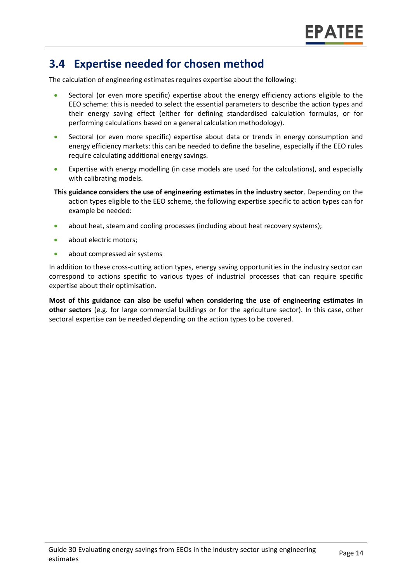#### **3.4 Expertise needed for chosen method**

The calculation of engineering estimates requires expertise about the following:

- Sectoral (or even more specific) expertise about the energy efficiency actions eligible to the EEO scheme: this is needed to select the essential parameters to describe the action types and their energy saving effect (either for defining standardised calculation formulas, or for performing calculations based on a general calculation methodology).
- Sectoral (or even more specific) expertise about data or trends in energy consumption and energy efficiency markets: this can be needed to define the baseline, especially if the EEO rules require calculating additional energy savings.
- Expertise with energy modelling (in case models are used for the calculations), and especially with calibrating models.
- **This guidance considers the use of engineering estimates in the industry sector**. Depending on the action types eligible to the EEO scheme, the following expertise specific to action types can for example be needed:
- about heat, steam and cooling processes (including about heat recovery systems);
- about electric motors;
- about compressed air systems

In addition to these cross-cutting action types, energy saving opportunities in the industry sector can correspond to actions specific to various types of industrial processes that can require specific expertise about their optimisation.

**Most of this guidance can also be useful when considering the use of engineering estimates in other sectors** (e.g. for large commercial buildings or for the agriculture sector). In this case, other sectoral expertise can be needed depending on the action types to be covered.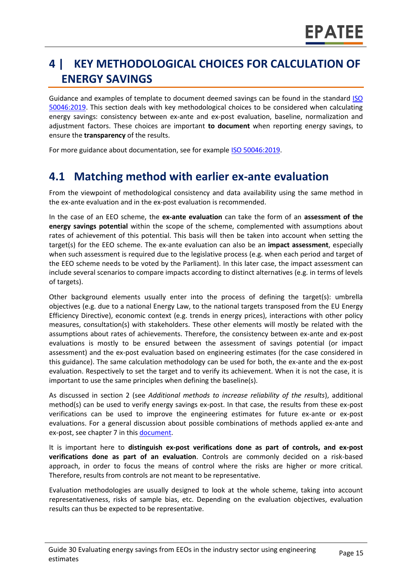## **4 | KEY METHODOLOGICAL CHOICES FOR CALCULATION OF ENERGY SAVINGS**

Guidance and examples of template to document deemed savings can be found in the standard ISO [50046:2019.](https://www.iso.org/standard/67790.html) This section deals with key methodological choices to be considered when calculating energy savings: consistency between ex-ante and ex-post evaluation, baseline, normalization and adjustment factors. These choices are important **to document** when reporting energy savings, to ensure the **transparency** of the results.

For more guidance about documentation, see for example [ISO 50046:2019.](https://www.iso.org/standard/67790.html)

#### **4.1 Matching method with earlier ex-ante evaluation**

From the viewpoint of methodological consistency and data availability using the same method in the ex-ante evaluation and in the ex-post evaluation is recommended.

In the case of an EEO scheme, the **ex-ante evaluation** can take the form of an **assessment of the energy savings potential** within the scope of the scheme, complemented with assumptions about rates of achievement of this potential. This basis will then be taken into account when setting the target(s) for the EEO scheme. The ex-ante evaluation can also be an **impact assessment**, especially when such assessment is required due to the legislative process (e.g. when each period and target of the EEO scheme needs to be voted by the Parliament). In this later case, the impact assessment can include several scenarios to compare impacts according to distinct alternatives (e.g. in terms of levels of targets).

Other background elements usually enter into the process of defining the target(s): umbrella objectives (e.g. due to a national Energy Law, to the national targets transposed from the EU Energy Efficiency Directive), economic context (e.g. trends in energy prices), interactions with other policy measures, consultation(s) with stakeholders. These other elements will mostly be related with the assumptions about rates of achievements. Therefore, the consistency between ex-ante and ex-post evaluations is mostly to be ensured between the assessment of savings potential (or impact assessment) and the ex-post evaluation based on engineering estimates (for the case considered in this guidance). The same calculation methodology can be used for both, the ex-ante and the ex-post evaluation. Respectively to set the target and to verify its achievement. When it is not the case, it is important to use the same principles when defining the baseline(s).

As discussed in section 2 (see *Additional methods to increase reliability of the results*), additional method(s) can be used to verify energy savings ex-post. In that case, the results from these ex-post verifications can be used to improve the engineering estimates for future ex-ante or ex-post evaluations. For a general discussion about possible combinations of methods applied ex-ante and ex-post, see chapter 7 in thi[s document.](https://www.epatee-toolbox.eu/wp-content/uploads/2019/04/Saving_calculation_methods_for_EPATEE_Toobox_2019_04_24.pdf)

It is important here to **distinguish ex-post verifications done as part of controls, and ex-post verifications done as part of an evaluation**. Controls are commonly decided on a risk-based approach, in order to focus the means of control where the risks are higher or more critical. Therefore, results from controls are not meant to be representative.

Evaluation methodologies are usually designed to look at the whole scheme, taking into account representativeness, risks of sample bias, etc. Depending on the evaluation objectives, evaluation results can thus be expected to be representative.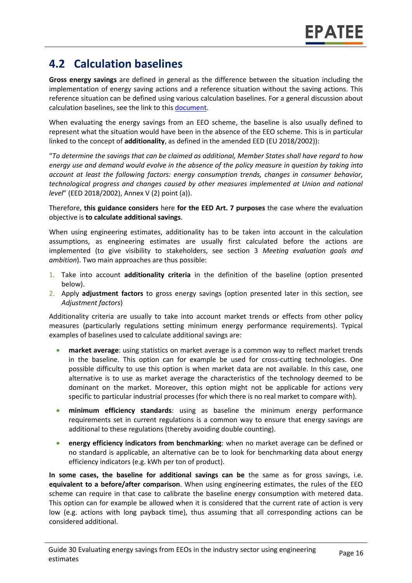### **4.2 Calculation baselines**

**Gross energy savings** are defined in general as the difference between the situation including the implementation of energy saving actions and a reference situation without the saving actions. This reference situation can be defined using various calculation baselines. For a general discussion about calculation baselines, see the link to thi[s document.](https://www.epatee-toolbox.eu/wp-content/uploads/2019/04/Application_of_KB_savings_baselines_and_correction_factors_in_the_Toolbox_and_PSMCs_190418_.pdf)

When evaluating the energy savings from an EEO scheme, the baseline is also usually defined to represent what the situation would have been in the absence of the EEO scheme. This is in particular linked to the concept of **additionality**, as defined in the amended EED (EU 2018/2002)):

"*To determine the savings that can be claimed as additional, Member States shall have regard to how energy use and demand would evolve in the absence of the policy measure in question by taking into account at least the following factors: energy consumption trends, changes in consumer behavior, technological progress and changes caused by other measures implemented at Union and national level*" (EED 2018/2002), Annex V (2) point (a)).

Therefore, **this guidance considers** here **for the EED Art. 7 purposes** the case where the evaluation objective is **to calculate additional savings**.

When using engineering estimates, additionality has to be taken into account in the calculation assumptions, as engineering estimates are usually first calculated before the actions are implemented (to give visibility to stakeholders, see section 3 *Meeting evaluation goals and ambition*). Two main approaches are thus possible:

- 1. Take into account **additionality criteria** in the definition of the baseline (option presented below).
- 2. Apply **adjustment factors** to gross energy savings (option presented later in this section, see *Adjustment factors*)

Additionality criteria are usually to take into account market trends or effects from other policy measures (particularly regulations setting minimum energy performance requirements). Typical examples of baselines used to calculate additional savings are:

- **market average**: using statistics on market average is a common way to reflect market trends in the baseline. This option can for example be used for cross-cutting technologies. One possible difficulty to use this option is when market data are not available. In this case, one alternative is to use as market average the characteristics of the technology deemed to be dominant on the market. Moreover, this option might not be applicable for actions very specific to particular industrial processes (for which there is no real market to compare with).
- **minimum efficiency standards**: using as baseline the minimum energy performance requirements set in current regulations is a common way to ensure that energy savings are additional to these regulations (thereby avoiding double counting).
- **energy efficiency indicators from benchmarking**: when no market average can be defined or no standard is applicable, an alternative can be to look for benchmarking data about energy efficiency indicators (e.g. kWh per ton of product).

**In some cases, the baseline for additional savings can be** the same as for gross savings, i.e. **equivalent to a before/after comparison**. When using engineering estimates, the rules of the EEO scheme can require in that case to calibrate the baseline energy consumption with metered data. This option can for example be allowed when it is considered that the current rate of action is very low (e.g. actions with long payback time), thus assuming that all corresponding actions can be considered additional.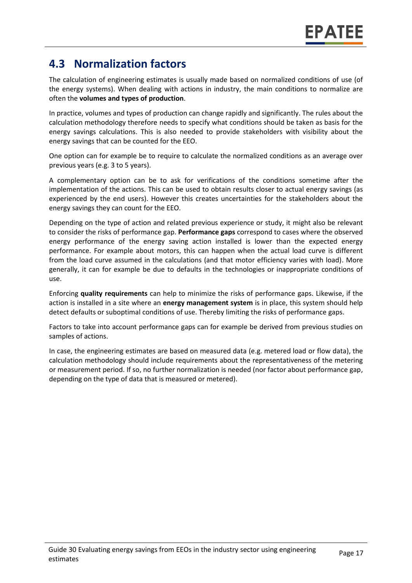### **4.3 Normalization factors**

The calculation of engineering estimates is usually made based on normalized conditions of use (of the energy systems). When dealing with actions in industry, the main conditions to normalize are often the **volumes and types of production**.

In practice, volumes and types of production can change rapidly and significantly. The rules about the calculation methodology therefore needs to specify what conditions should be taken as basis for the energy savings calculations. This is also needed to provide stakeholders with visibility about the energy savings that can be counted for the EEO.

One option can for example be to require to calculate the normalized conditions as an average over previous years (e.g. 3 to 5 years).

A complementary option can be to ask for verifications of the conditions sometime after the implementation of the actions. This can be used to obtain results closer to actual energy savings (as experienced by the end users). However this creates uncertainties for the stakeholders about the energy savings they can count for the EEO.

Depending on the type of action and related previous experience or study, it might also be relevant to consider the risks of performance gap. **Performance gaps** correspond to cases where the observed energy performance of the energy saving action installed is lower than the expected energy performance. For example about motors, this can happen when the actual load curve is different from the load curve assumed in the calculations (and that motor efficiency varies with load). More generally, it can for example be due to defaults in the technologies or inappropriate conditions of use.

Enforcing **quality requirements** can help to minimize the risks of performance gaps. Likewise, if the action is installed in a site where an **energy management system** is in place, this system should help detect defaults or suboptimal conditions of use. Thereby limiting the risks of performance gaps.

Factors to take into account performance gaps can for example be derived from previous studies on samples of actions.

In case, the engineering estimates are based on measured data (e.g. metered load or flow data), the calculation methodology should include requirements about the representativeness of the metering or measurement period. If so, no further normalization is needed (nor factor about performance gap, depending on the type of data that is measured or metered).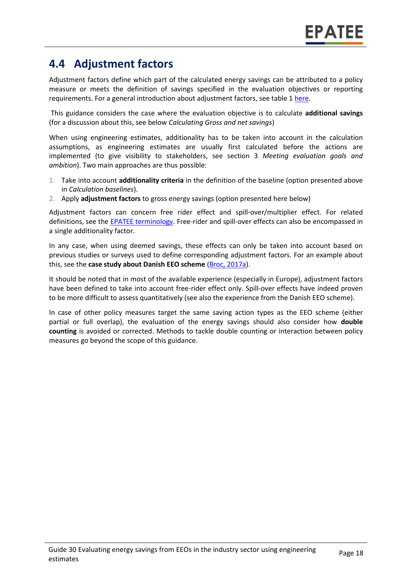### **4.4 Adjustment factors**

Adjustment factors define which part of the calculated energy savings can be attributed to a policy measure or meets the definition of savings specified in the evaluation objectives or reporting requirements. For a general introduction about adjustment factors, see table 1 [here.](https://www.epatee-toolbox.eu/wp-content/uploads/2019/04/Saving_calculation_methods_for_EPATEE_Toobox_2019_04_24.pdf)

This guidance considers the case where the evaluation objective is to calculate **additional savings** (for a discussion about this, see below *Calculating Gross and net savings*)

When using engineering estimates, additionality has to be taken into account in the calculation assumptions, as engineering estimates are usually first calculated before the actions are implemented (to give visibility to stakeholders, see section 3 *Meeting evaluation goals and ambition*). Two main approaches are thus possible:

- 1. Take into account **additionality criteria** in the definition of the baseline (option presented above in *Calculation baselines*).
- 2. Apply **adjustment factors** to gross energy savings (option presented here below)

Adjustment factors can concern free rider effect and spill-over/multiplier effect. For related definitions, see the **EPATEE terminology**. Free-rider and spill-over effects can also be encompassed in a single additionality factor.

In any case, when using deemed savings, these effects can only be taken into account based on previous studies or surveys used to define corresponding adjustment factors. For an example about this, see the **case study about Danish EEO scheme** [\(Broc, 2017a\)](https://www.epatee-toolbox.eu/wp-content/uploads/2018/10/epatee_case_study_denmark_eeo_scheme_ok.pdf).

It should be noted that in most of the available experience (especially in Europe), adjustment factors have been defined to take into account free-rider effect only. Spill-over effects have indeed proven to be more difficult to assess quantitatively (see also the experience from the Danish EEO scheme).

In case of other policy measures target the same saving action types as the EEO scheme (either partial or full overlap), the evaluation of the energy savings should also consider how **double counting** is avoided or corrected. Methods to tackle double counting or interaction between policy measures go beyond the scope of this guidance.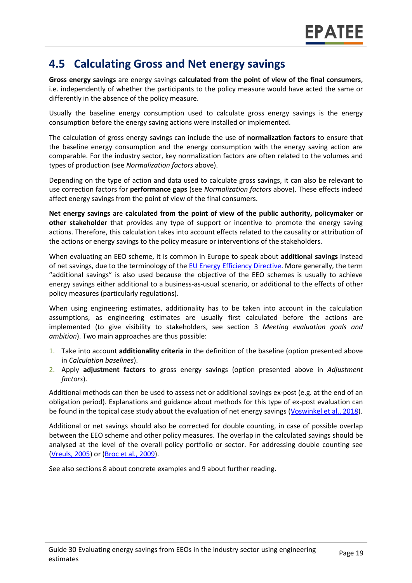#### **4.5 Calculating Gross and Net energy savings**

**Gross energy savings** are energy savings **calculated from the point of view of the final consumers**, i.e. independently of whether the participants to the policy measure would have acted the same or differently in the absence of the policy measure.

Usually the baseline energy consumption used to calculate gross energy savings is the energy consumption before the energy saving actions were installed or implemented.

The calculation of gross energy savings can include the use of **normalization factors** to ensure that the baseline energy consumption and the energy consumption with the energy saving action are comparable. For the industry sector, key normalization factors are often related to the volumes and types of production (see *Normalization factors* above).

Depending on the type of action and data used to calculate gross savings, it can also be relevant to use correction factors for **performance gaps** (see *Normalization factors* above). These effects indeed affect energy savings from the point of view of the final consumers.

**Net energy savings** are **calculated from the point of view of the public authority, policymaker or other stakeholder** that provides any type of support or incentive to promote the energy saving actions. Therefore, this calculation takes into account effects related to the causality or attribution of the actions or energy savings to the policy measure or interventions of the stakeholders.

When evaluating an EEO scheme, it is common in Europe to speak about **additional savings** instead of net savings, due to the terminology of the [EU Energy Efficiency Directive.](https://eur-lex.europa.eu/legal-content/EN/TXT/?uri=CELEX:02012L0027-20190612) More generally, the term "additional savings" is also used because the objective of the EEO schemes is usually to achieve energy savings either additional to a business-as-usual scenario, or additional to the effects of other policy measures (particularly regulations).

When using engineering estimates, additionality has to be taken into account in the calculation assumptions, as engineering estimates are usually first calculated before the actions are implemented (to give visibility to stakeholders, see section 3 *Meeting evaluation goals and ambition*). Two main approaches are thus possible:

- 1. Take into account **additionality criteria** in the definition of the baseline (option presented above in *Calculation baselines*).
- 2. Apply **adjustment factors** to gross energy savings (option presented above in *Adjustment factors*).

Additional methods can then be used to assess net or additional savings ex-post (e.g. at the end of an obligation period). Explanations and guidance about methods for this type of ex-post evaluation can be found in the topical case study about the evaluation of net energy savings (Voswinkel [et al., 2018\)](https://www.epatee-toolbox.eu/?page_id=416).

Additional or net savings should also be corrected for double counting, in case of possible overlap between the EEO scheme and other policy measures. The overlap in the calculated savings should be analysed at the level of the overall policy portfolio or sector. For addressing double counting see [\(Vreuls, 2005\)](http://www.ieadsm.org/task/task-1-subtask-9-evaluation-guidebook/) or [\(Broc et al.,](https://www.epatee-lib.eu/media/docs/D4_EMEEES_Final.pdf) 2009).

See also sections 8 about concrete examples and 9 about further reading.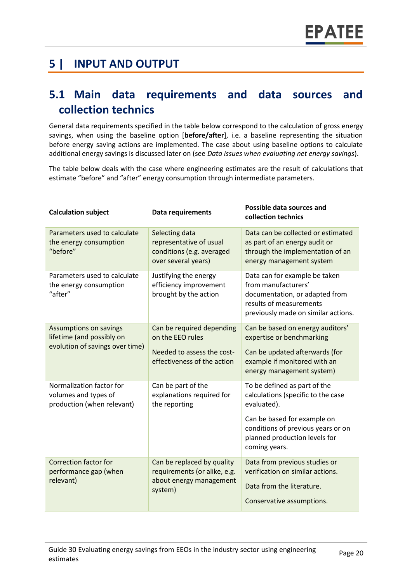### **5 | INPUT AND OUTPUT**

#### **5.1 Main data requirements and data sources and collection technics**

General data requirements specified in the table below correspond to the calculation of gross energy savings, when using the baseline option [**before/after**], i.e. a baseline representing the situation before energy saving actions are implemented. The case about using baseline options to calculate additional energy savings is discussed later on (see *Data issues when evaluating net energy savings*).

The table below deals with the case where engineering estimates are the result of calculations that estimate "before" and "after" energy consumption through intermediate parameters.

| <b>Calculation subject</b>                                                             | <b>Data requirements</b>                                                                                   | Possible data sources and<br>collection technics                                                                                                                                                         |
|----------------------------------------------------------------------------------------|------------------------------------------------------------------------------------------------------------|----------------------------------------------------------------------------------------------------------------------------------------------------------------------------------------------------------|
| Parameters used to calculate<br>the energy consumption<br>"before"                     | Selecting data<br>representative of usual<br>conditions (e.g. averaged<br>over several years)              | Data can be collected or estimated<br>as part of an energy audit or<br>through the implementation of an<br>energy management system                                                                      |
| Parameters used to calculate<br>the energy consumption<br>"after"                      | Justifying the energy<br>efficiency improvement<br>brought by the action                                   | Data can for example be taken<br>from manufacturers'<br>documentation, or adapted from<br>results of measurements<br>previously made on similar actions.                                                 |
| Assumptions on savings<br>lifetime (and possibly on<br>evolution of savings over time) | Can be required depending<br>on the EEO rules<br>Needed to assess the cost-<br>effectiveness of the action | Can be based on energy auditors'<br>expertise or benchmarking<br>Can be updated afterwards (for<br>example if monitored with an<br>energy management system)                                             |
| Normalization factor for<br>volumes and types of<br>production (when relevant)         | Can be part of the<br>explanations required for<br>the reporting                                           | To be defined as part of the<br>calculations (specific to the case<br>evaluated).<br>Can be based for example on<br>conditions of previous years or on<br>planned production levels for<br>coming years. |
| <b>Correction factor for</b><br>performance gap (when<br>relevant)                     | Can be replaced by quality<br>requirements (or alike, e.g.<br>about energy management<br>system)           | Data from previous studies or<br>verification on similar actions.<br>Data from the literature.<br>Conservative assumptions.                                                                              |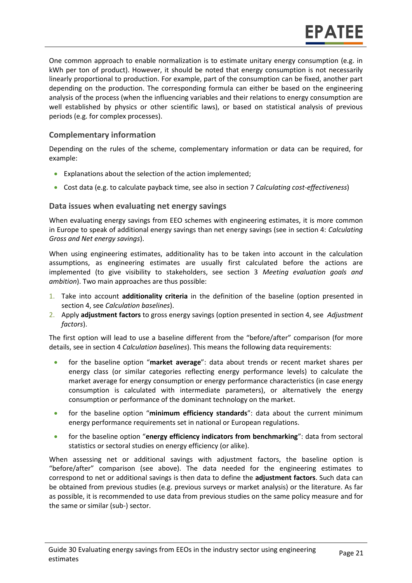One common approach to enable normalization is to estimate unitary energy consumption (e.g. in kWh per ton of product). However, it should be noted that energy consumption is not necessarily linearly proportional to production. For example, part of the consumption can be fixed, another part depending on the production. The corresponding formula can either be based on the engineering analysis of the process (when the influencing variables and their relations to energy consumption are well established by physics or other scientific laws), or based on statistical analysis of previous periods (e.g. for complex processes).

#### **Complementary information**

Depending on the rules of the scheme, complementary information or data can be required, for example:

- Explanations about the selection of the action implemented;
- Cost data (e.g. to calculate payback time, see also in section 7 *Calculating cost-effectiveness*)

#### **Data issues when evaluating net energy savings**

When evaluating energy savings from EEO schemes with engineering estimates, it is more common in Europe to speak of additional energy savings than net energy savings (see in section 4: *Calculating Gross and Net energy savings*).

When using engineering estimates, additionality has to be taken into account in the calculation assumptions, as engineering estimates are usually first calculated before the actions are implemented (to give visibility to stakeholders, see section 3 *Meeting evaluation goals and ambition*). Two main approaches are thus possible:

- 1. Take into account **additionality criteria** in the definition of the baseline (option presented in section 4, see *Calculation baselines*).
- 2. Apply **adjustment factors** to gross energy savings (option presented in section 4, see *Adjustment factors*).

The first option will lead to use a baseline different from the "before/after" comparison (for more details, see in section 4 *Calculation baselines*). This means the following data requirements:

- for the baseline option "**market average**": data about trends or recent market shares per energy class (or similar categories reflecting energy performance levels) to calculate the market average for energy consumption or energy performance characteristics (in case energy consumption is calculated with intermediate parameters), or alternatively the energy consumption or performance of the dominant technology on the market.
- for the baseline option "**minimum efficiency standards**": data about the current minimum energy performance requirements set in national or European regulations.
- for the baseline option "**energy efficiency indicators from benchmarking**": data from sectoral statistics or sectoral studies on energy efficiency (or alike).

When assessing net or additional savings with adjustment factors, the baseline option is "before/after" comparison (see above). The data needed for the engineering estimates to correspond to net or additional savings is then data to define the **adjustment factors**. Such data can be obtained from previous studies (e.g. previous surveys or market analysis) or the literature. As far as possible, it is recommended to use data from previous studies on the same policy measure and for the same or similar (sub-) sector.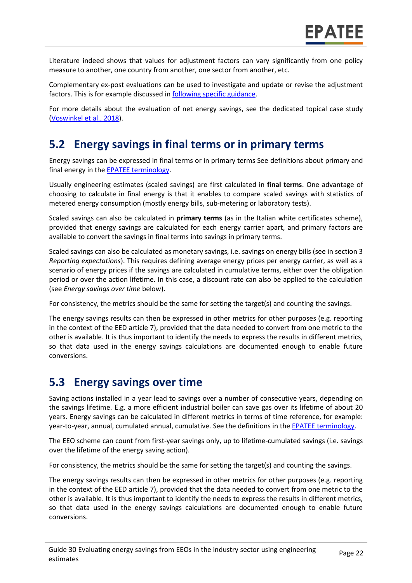Literature indeed shows that values for adjustment factors can vary significantly from one policy measure to another, one country from another, one sector from another, etc.

Complementary ex-post evaluations can be used to investigate and update or revise the adjustment factors. This is for example discussed in [following specific guidance.](https://www.eceee.org/static/media/uploads/site-2/library/conference_proceedings/eceee_Summer_Studies/2009/Panel_2/2.043/paper.pdf)

For more details about the evaluation of net energy savings, see the dedicated topical case study (Voswinkel [et al., 2018\)](https://www.epatee-toolbox.eu/?page_id=416).

#### **5.2 Energy savings in final terms or in primary terms**

Energy savings can be expressed in final terms or in primary terms See definitions about primary and final energy in the **EPATEE terminology**.

Usually engineering estimates (scaled savings) are first calculated in **final terms**. One advantage of choosing to calculate in final energy is that it enables to compare scaled savings with statistics of metered energy consumption (mostly energy bills, sub-metering or laboratory tests).

Scaled savings can also be calculated in **primary terms** (as in the Italian white certificates scheme), provided that energy savings are calculated for each energy carrier apart, and primary factors are available to convert the savings in final terms into savings in primary terms.

Scaled savings can also be calculated as monetary savings, i.e. savings on energy bills (see in section 3 *Reporting expectations*). This requires defining average energy prices per energy carrier, as well as a scenario of energy prices if the savings are calculated in cumulative terms, either over the obligation period or over the action lifetime. In this case, a discount rate can also be applied to the calculation (see *Energy savings over time* below).

For consistency, the metrics should be the same for setting the target(s) and counting the savings.

The energy savings results can then be expressed in other metrics for other purposes (e.g. reporting in the context of the EED article 7), provided that the data needed to convert from one metric to the other is available. It is thus important to identify the needs to express the results in different metrics, so that data used in the energy savings calculations are documented enough to enable future conversions.

#### **5.3 Energy savings over time**

Saving actions installed in a year lead to savings over a number of consecutive years, depending on the savings lifetime. E.g. a more efficient industrial boiler can save gas over its lifetime of about 20 years. Energy savings can be calculated in different metrics in terms of time reference, for example: year-to-year, annual, cumulated annual, cumulative. See the definitions in the **EPATEE** terminology.

The EEO scheme can count from first-year savings only, up to lifetime-cumulated savings (i.e. savings over the lifetime of the energy saving action).

For consistency, the metrics should be the same for setting the target(s) and counting the savings.

The energy savings results can then be expressed in other metrics for other purposes (e.g. reporting in the context of the EED article 7), provided that the data needed to convert from one metric to the other is available. It is thus important to identify the needs to express the results in different metrics, so that data used in the energy savings calculations are documented enough to enable future conversions.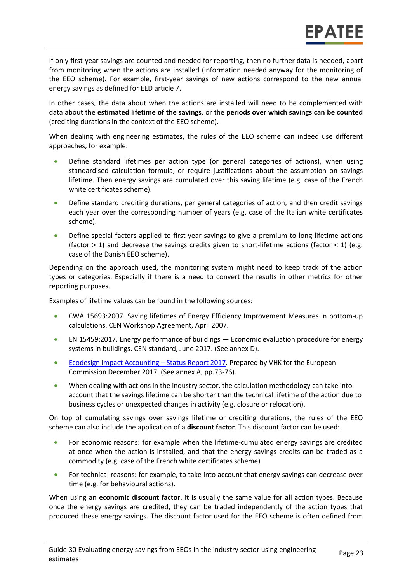If only first-year savings are counted and needed for reporting, then no further data is needed, apart from monitoring when the actions are installed (information needed anyway for the monitoring of the EEO scheme). For example, first-year savings of new actions correspond to the new annual energy savings as defined for EED article 7.

In other cases, the data about when the actions are installed will need to be complemented with data about the **estimated lifetime of the savings**, or the **periods over which savings can be counted** (crediting durations in the context of the EEO scheme).

When dealing with engineering estimates, the rules of the EEO scheme can indeed use different approaches, for example:

- Define standard lifetimes per action type (or general categories of actions), when using standardised calculation formula, or require justifications about the assumption on savings lifetime. Then energy savings are cumulated over this saving lifetime (e.g. case of the French white certificates scheme).
- Define standard crediting durations, per general categories of action, and then credit savings each year over the corresponding number of years (e.g. case of the Italian white certificates scheme).
- Define special factors applied to first-year savings to give a premium to long-lifetime actions (factor  $> 1$ ) and decrease the savings credits given to short-lifetime actions (factor  $< 1$ ) (e.g. case of the Danish EEO scheme).

Depending on the approach used, the monitoring system might need to keep track of the action types or categories. Especially if there is a need to convert the results in other metrics for other reporting purposes.

Examples of lifetime values can be found in the following sources:

- CWA 15693:2007. Saving lifetimes of Energy Efficiency Improvement Measures in bottom-up calculations. CEN Workshop Agreement, April 2007.
- EN 15459:2017. Energy performance of buildings Economic evaluation procedure for energy systems in buildings. CEN standard, June 2017. (See annex D).
- [Ecodesign Impact Accounting](https://ec.europa.eu/energy/en/studies/ecodesign-impact-accounting-0)  Status Report 2017. Prepared by VHK for the European Commission December 2017. (See annex A, pp.73-76).
- When dealing with actions in the industry sector, the calculation methodology can take into account that the savings lifetime can be shorter than the technical lifetime of the action due to business cycles or unexpected changes in activity (e.g. closure or relocation).

On top of cumulating savings over savings lifetime or crediting durations, the rules of the EEO scheme can also include the application of a **discount factor**. This discount factor can be used:

- For economic reasons: for example when the lifetime-cumulated energy savings are credited at once when the action is installed, and that the energy savings credits can be traded as a commodity (e.g. case of the French white certificates scheme)
- For technical reasons: for example, to take into account that energy savings can decrease over time (e.g. for behavioural actions).

When using an **economic discount factor**, it is usually the same value for all action types. Because once the energy savings are credited, they can be traded independently of the action types that produced these energy savings. The discount factor used for the EEO scheme is often defined from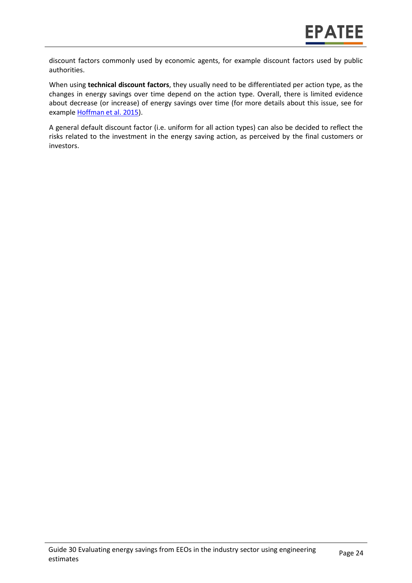discount factors commonly used by economic agents, for example discount factors used by public authorities.

When using **technical discount factors**, they usually need to be differentiated per action type, as the changes in energy savings over time depend on the action type. Overall, there is limited evidence about decrease (or increase) of energy savings over time (for more details about this issue, see for exampl[e Hoffman et al. 2015\)](https://emp.lbl.gov/publications/energy-savings-lifetimes-and).

A general default discount factor (i.e. uniform for all action types) can also be decided to reflect the risks related to the investment in the energy saving action, as perceived by the final customers or investors.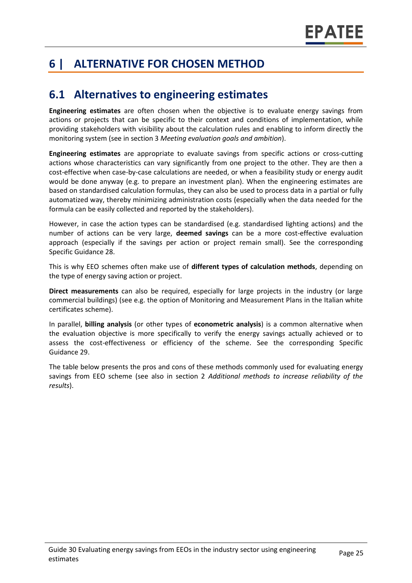## **6 | ALTERNATIVE FOR CHOSEN METHOD**

### **6.1 Alternatives to engineering estimates**

**Engineering estimates** are often chosen when the objective is to evaluate energy savings from actions or projects that can be specific to their context and conditions of implementation, while providing stakeholders with visibility about the calculation rules and enabling to inform directly the monitoring system (see in section 3 *Meeting evaluation goals and ambition*).

**Engineering estimates** are appropriate to evaluate savings from specific actions or cross-cutting actions whose characteristics can vary significantly from one project to the other. They are then a cost-effective when case-by-case calculations are needed, or when a feasibility study or energy audit would be done anyway (e.g. to prepare an investment plan). When the engineering estimates are based on standardised calculation formulas, they can also be used to process data in a partial or fully automatized way, thereby minimizing administration costs (especially when the data needed for the formula can be easily collected and reported by the stakeholders).

However, in case the action types can be standardised (e.g. standardised lighting actions) and the number of actions can be very large, **deemed savings** can be a more cost-effective evaluation approach (especially if the savings per action or project remain small). See the corresponding Specific Guidance 28.

This is why EEO schemes often make use of **different types of calculation methods**, depending on the type of energy saving action or project.

**Direct measurements** can also be required, especially for large projects in the industry (or large commercial buildings) (see e.g. the option of Monitoring and Measurement Plans in the Italian white certificates scheme).

In parallel, **billing analysis** (or other types of **econometric analysis**) is a common alternative when the evaluation objective is more specifically to verify the energy savings actually achieved or to assess the cost-effectiveness or efficiency of the scheme. See the corresponding Specific Guidance 29.

The table below presents the pros and cons of these methods commonly used for evaluating energy savings from EEO scheme (see also in section 2 *Additional methods to increase reliability of the results*).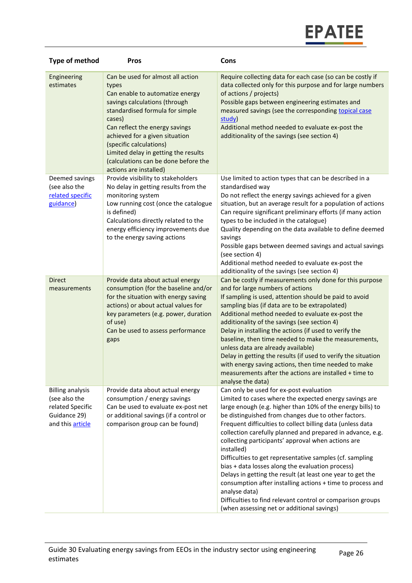

| Type of method                                                                                   | <b>Pros</b>                                                                                                                                                                                                                                                                                                                                                          | Cons                                                                                                                                                                                                                                                                                                                                                                                                                                                                                                                                                                                                                                                                                                                                                                                            |
|--------------------------------------------------------------------------------------------------|----------------------------------------------------------------------------------------------------------------------------------------------------------------------------------------------------------------------------------------------------------------------------------------------------------------------------------------------------------------------|-------------------------------------------------------------------------------------------------------------------------------------------------------------------------------------------------------------------------------------------------------------------------------------------------------------------------------------------------------------------------------------------------------------------------------------------------------------------------------------------------------------------------------------------------------------------------------------------------------------------------------------------------------------------------------------------------------------------------------------------------------------------------------------------------|
| Engineering<br>estimates                                                                         | Can be used for almost all action<br>types<br>Can enable to automatize energy<br>savings calculations (through<br>standardised formula for simple<br>cases)<br>Can reflect the energy savings<br>achieved for a given situation<br>(specific calculations)<br>Limited delay in getting the results<br>(calculations can be done before the<br>actions are installed) | Require collecting data for each case (so can be costly if<br>data collected only for this purpose and for large numbers<br>of actions / projects)<br>Possible gaps between engineering estimates and<br>measured savings (see the corresponding topical case<br>study)<br>Additional method needed to evaluate ex-post the<br>additionality of the savings (see section 4)                                                                                                                                                                                                                                                                                                                                                                                                                     |
| Deemed savings<br>(see also the<br>related specific<br>guidance)                                 | Provide visibility to stakeholders<br>No delay in getting results from the<br>monitoring system<br>Low running cost (once the catalogue<br>is defined)<br>Calculations directly related to the<br>energy efficiency improvements due<br>to the energy saving actions                                                                                                 | Use limited to action types that can be described in a<br>standardised way<br>Do not reflect the energy savings achieved for a given<br>situation, but an average result for a population of actions<br>Can require significant preliminary efforts (if many action<br>types to be included in the catalogue)<br>Quality depending on the data available to define deemed<br>savings<br>Possible gaps between deemed savings and actual savings<br>(see section 4)<br>Additional method needed to evaluate ex-post the<br>additionality of the savings (see section 4)                                                                                                                                                                                                                          |
| <b>Direct</b><br>measurements                                                                    | Provide data about actual energy<br>consumption (for the baseline and/or<br>for the situation with energy saving<br>actions) or about actual values for<br>key parameters (e.g. power, duration<br>of use)<br>Can be used to assess performance<br>gaps                                                                                                              | Can be costly if measurements only done for this purpose<br>and for large numbers of actions<br>If sampling is used, attention should be paid to avoid<br>sampling bias (if data are to be extrapolated)<br>Additional method needed to evaluate ex-post the<br>additionality of the savings (see section 4)<br>Delay in installing the actions (if used to verify the<br>baseline, then time needed to make the measurements,<br>unless data are already available)<br>Delay in getting the results (if used to verify the situation<br>with energy saving actions, then time needed to make<br>measurements after the actions are installed + time to<br>analyse the data)                                                                                                                    |
| <b>Billing analysis</b><br>(see also the<br>related Specific<br>Guidance 29)<br>and this article | Provide data about actual energy<br>consumption / energy savings<br>Can be used to evaluate ex-post net<br>or additional savings (if a control or<br>comparison group can be found)                                                                                                                                                                                  | Can only be used for ex-post evaluation<br>Limited to cases where the expected energy savings are<br>large enough (e.g. higher than 10% of the energy bills) to<br>be distinguished from changes due to other factors.<br>Frequent difficulties to collect billing data (unless data<br>collection carefully planned and prepared in advance, e.g.<br>collecting participants' approval when actions are<br>installed)<br>Difficulties to get representative samples (cf. sampling<br>bias + data losses along the evaluation process)<br>Delays in getting the result (at least one year to get the<br>consumption after installing actions + time to process and<br>analyse data)<br>Difficulties to find relevant control or comparison groups<br>(when assessing net or additional savings) |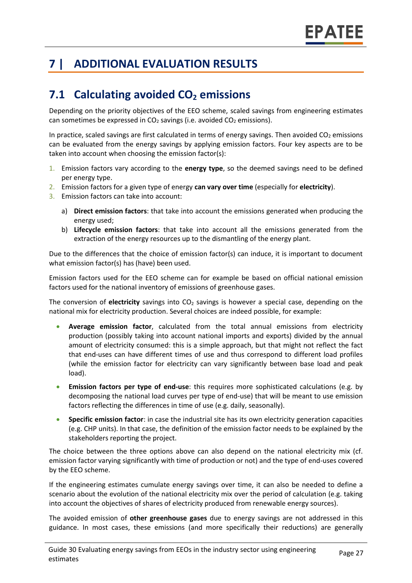## **7 | ADDITIONAL EVALUATION RESULTS**

## **7.1 Calculating avoided CO<sup>2</sup> emissions**

Depending on the priority objectives of the EEO scheme, scaled savings from engineering estimates can sometimes be expressed in  $CO<sub>2</sub>$  savings (i.e. avoided  $CO<sub>2</sub>$  emissions).

In practice, scaled savings are first calculated in terms of energy savings. Then avoided  $CO<sub>2</sub>$  emissions can be evaluated from the energy savings by applying emission factors. Four key aspects are to be taken into account when choosing the emission factor(s):

- 1. Emission factors vary according to the **energy type**, so the deemed savings need to be defined per energy type.
- 2. Emission factors for a given type of energy **can vary over time** (especially for **electricity**).
- 3. Emission factors can take into account:
	- a) **Direct emission factors**: that take into account the emissions generated when producing the energy used;
	- b) **Lifecycle emission factors**: that take into account all the emissions generated from the extraction of the energy resources up to the dismantling of the energy plant.

Due to the differences that the choice of emission factor(s) can induce, it is important to document what emission factor(s) has (have) been used.

Emission factors used for the EEO scheme can for example be based on official national emission factors used for the national inventory of emissions of greenhouse gases.

The conversion of **electricity** savings into CO<sub>2</sub> savings is however a special case, depending on the national mix for electricity production. Several choices are indeed possible, for example:

- **Average emission factor**, calculated from the total annual emissions from electricity production (possibly taking into account national imports and exports) divided by the annual amount of electricity consumed: this is a simple approach, but that might not reflect the fact that end-uses can have different times of use and thus correspond to different load profiles (while the emission factor for electricity can vary significantly between base load and peak load).
- **Emission factors per type of end-use**: this requires more sophisticated calculations (e.g. by decomposing the national load curves per type of end-use) that will be meant to use emission factors reflecting the differences in time of use (e.g. daily, seasonally).
- **Specific emission factor**: in case the industrial site has its own electricity generation capacities (e.g. CHP units). In that case, the definition of the emission factor needs to be explained by the stakeholders reporting the project.

The choice between the three options above can also depend on the national electricity mix (cf. emission factor varying significantly with time of production or not) and the type of end-uses covered by the EEO scheme.

If the engineering estimates cumulate energy savings over time, it can also be needed to define a scenario about the evolution of the national electricity mix over the period of calculation (e.g. taking into account the objectives of shares of electricity produced from renewable energy sources).

The avoided emission of **other greenhouse gases** due to energy savings are not addressed in this guidance. In most cases, these emissions (and more specifically their reductions) are generally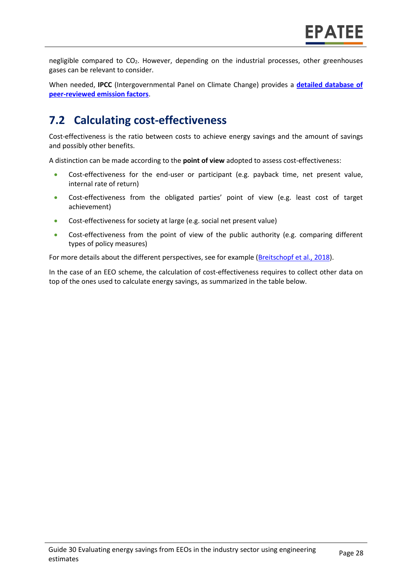negligible compared to  $CO<sub>2</sub>$ . However, depending on the industrial processes, other greenhouses gases can be relevant to consider.

When needed, **IPCC** (Intergovernmental Panel on Climate Change) provides a **[detailed database of](https://www.ipcc-nggip.iges.or.jp/EFDB/main.php)  [peer-reviewed emission factors](https://www.ipcc-nggip.iges.or.jp/EFDB/main.php)**.

## **7.2 Calculating cost-effectiveness**

Cost-effectiveness is the ratio between costs to achieve energy savings and the amount of savings and possibly other benefits.

A distinction can be made according to the **point of view** adopted to assess cost-effectiveness:

- Cost-effectiveness for the end-user or participant (e.g. payback time, net present value, internal rate of return)
- Cost-effectiveness from the obligated parties' point of view (e.g. least cost of target achievement)
- Cost-effectiveness for society at large (e.g. social net present value)
- Cost-effectiveness from the point of view of the public authority (e.g. comparing different types of policy measures)

For more details about the different perspectives, see for example [\(Breitschopf](https://epatee.eu/system/tdf/epatee_report_on_the_knowledge_base.pdf?file=1&type=node&id=29&force=1) et al., 2018).

In the case of an EEO scheme, the calculation of cost-effectiveness requires to collect other data on top of the ones used to calculate energy savings, as summarized in the table below.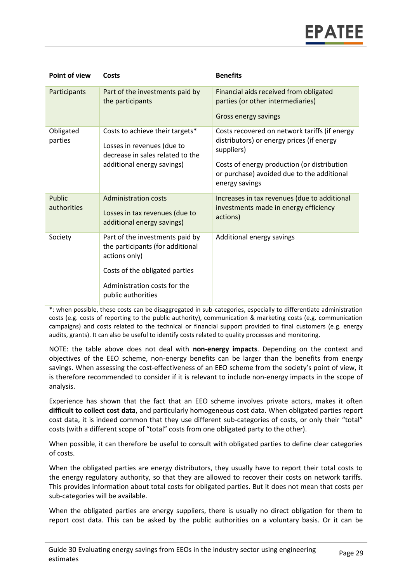| Point of view         | Costs                                                                                                                           | <b>Benefits</b>                                                                                             |
|-----------------------|---------------------------------------------------------------------------------------------------------------------------------|-------------------------------------------------------------------------------------------------------------|
| Participants          | Part of the investments paid by<br>the participants                                                                             | Financial aids received from obligated<br>parties (or other intermediaries)                                 |
|                       |                                                                                                                                 | Gross energy savings                                                                                        |
| Obligated<br>parties  | Costs to achieve their targets*<br>Losses in revenues (due to<br>decrease in sales related to the<br>additional energy savings) | Costs recovered on network tariffs (if energy<br>distributors) or energy prices (if energy<br>suppliers)    |
|                       |                                                                                                                                 | Costs of energy production (or distribution<br>or purchase) avoided due to the additional<br>energy savings |
| Public<br>authorities | <b>Administration costs</b><br>Losses in tax revenues (due to<br>additional energy savings)                                     | Increases in tax revenues (due to additional<br>investments made in energy efficiency<br>actions)           |
| Society               | Part of the investments paid by<br>the participants (for additional<br>actions only)                                            | Additional energy savings                                                                                   |
|                       | Costs of the obligated parties                                                                                                  |                                                                                                             |
|                       | Administration costs for the<br>public authorities                                                                              |                                                                                                             |

\*: when possible, these costs can be disaggregated in sub-categories, especially to differentiate administration costs (e.g. costs of reporting to the public authority), communication & marketing costs (e.g. communication campaigns) and costs related to the technical or financial support provided to final customers (e.g. energy audits, grants). It can also be useful to identify costs related to quality processes and monitoring.

NOTE: the table above does not deal with **non-energy impacts**. Depending on the context and objectives of the EEO scheme, non-energy benefits can be larger than the benefits from energy savings. When assessing the cost-effectiveness of an EEO scheme from the society's point of view, it is therefore recommended to consider if it is relevant to include non-energy impacts in the scope of analysis.

Experience has shown that the fact that an EEO scheme involves private actors, makes it often **difficult to collect cost data**, and particularly homogeneous cost data. When obligated parties report cost data, it is indeed common that they use different sub-categories of costs, or only their "total" costs (with a different scope of "total" costs from one obligated party to the other).

When possible, it can therefore be useful to consult with obligated parties to define clear categories of costs.

When the obligated parties are energy distributors, they usually have to report their total costs to the energy regulatory authority, so that they are allowed to recover their costs on network tariffs. This provides information about total costs for obligated parties. But it does not mean that costs per sub-categories will be available.

When the obligated parties are energy suppliers, there is usually no direct obligation for them to report cost data. This can be asked by the public authorities on a voluntary basis. Or it can be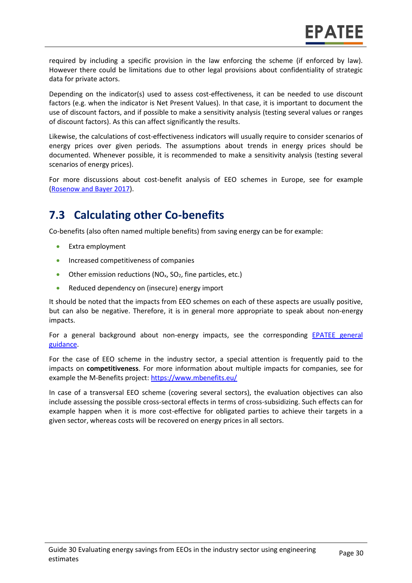required by including a specific provision in the law enforcing the scheme (if enforced by law). However there could be limitations due to other legal provisions about confidentiality of strategic data for private actors.

Depending on the indicator(s) used to assess cost-effectiveness, it can be needed to use discount factors (e.g. when the indicator is Net Present Values). In that case, it is important to document the use of discount factors, and if possible to make a sensitivity analysis (testing several values or ranges of discount factors). As this can affect significantly the results.

Likewise, the calculations of cost-effectiveness indicators will usually require to consider scenarios of energy prices over given periods. The assumptions about trends in energy prices should be documented. Whenever possible, it is recommended to make a sensitivity analysis (testing several scenarios of energy prices).

For more discussions about cost-benefit analysis of EEO schemes in Europe, see for example (Rosenow [and Bayer](https://www.eceee.org/library/conference_proceedings/eceee_Summer_Studies/2017/7-appliances-products-lighting-and-ict/using-webcrawler-techniques-for-improved-market-surveillance-new-possibilities-for-compliance-and-energy-policy/) 2017).

## **7.3 Calculating other Co-benefits**

Co-benefits (also often named multiple benefits) from saving energy can be for example:

- Extra employment
- Increased competitiveness of companies
- Other emission reductions  $(NO<sub>x</sub>, SO<sub>2</sub>, fine particles, etc.)$
- Reduced dependency on (insecure) energy import

It should be noted that the impacts from EEO schemes on each of these aspects are usually positive, but can also be negative. Therefore, it is in general more appropriate to speak about non-energy impacts.

For a general background about non-energy impacts, see the corresponding [EPATEE general](https://www.epatee-toolbox.eu/evaluation-principles-and-methods/general-principles/evaluating-impacts-other-than-energy-savings/)  [guidance.](https://www.epatee-toolbox.eu/evaluation-principles-and-methods/general-principles/evaluating-impacts-other-than-energy-savings/)

For the case of EEO scheme in the industry sector, a special attention is frequently paid to the impacts on **competitiveness**. For more information about multiple impacts for companies, see for example the M-Benefits project:<https://www.mbenefits.eu/>

In case of a transversal EEO scheme (covering several sectors), the evaluation objectives can also include assessing the possible cross-sectoral effects in terms of cross-subsidizing. Such effects can for example happen when it is more cost-effective for obligated parties to achieve their targets in a given sector, whereas costs will be recovered on energy prices in all sectors.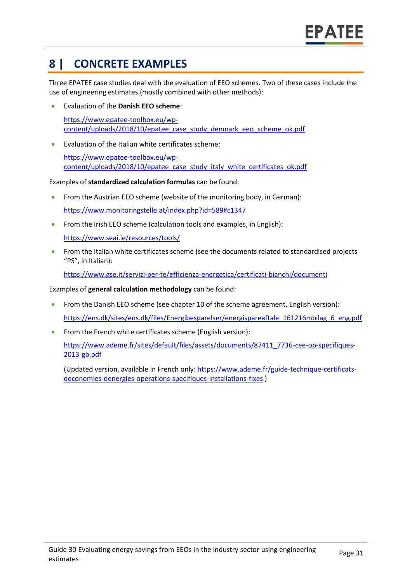## **8 | CONCRETE EXAMPLES**

Three EPATEE case studies deal with the evaluation of EEO schemes. Two of these cases include the use of engineering estimates (mostly combined with other methods):

- Evaluation of the **Danish EEO scheme**: [https://www.epatee-toolbox.eu/wp](https://www.epatee-toolbox.eu/wp-content/uploads/2018/10/epatee_case_study_denmark_eeo_scheme_ok.pdf)[content/uploads/2018/10/epatee\\_case\\_study\\_denmark\\_eeo\\_scheme\\_ok.pdf](https://www.epatee-toolbox.eu/wp-content/uploads/2018/10/epatee_case_study_denmark_eeo_scheme_ok.pdf)
- Evaluation of the Italian white certificates scheme:

[https://www.epatee-toolbox.eu/wp](https://www.epatee-toolbox.eu/wp-content/uploads/2018/10/epatee_case_study_italy_white_certificates_ok.pdf)[content/uploads/2018/10/epatee\\_case\\_study\\_italy\\_white\\_certificates\\_ok.pdf](https://www.epatee-toolbox.eu/wp-content/uploads/2018/10/epatee_case_study_italy_white_certificates_ok.pdf)

Examples of **standardized calculation formulas** can be found:

- From the Austrian EEO scheme (website of the monitoring body, in German): <https://www.monitoringstelle.at/index.php?id=589#c1347>
- From the Irish EEO scheme (calculation tools and examples, in English):

<https://www.seai.ie/resources/tools/>

• From the Italian white certificates scheme (see the documents related to standardised projects "PS", in Italian):

<https://www.gse.it/servizi-per-te/efficienza-energetica/certificati-bianchi/documenti>

Examples of **general calculation methodology** can be found:

- From the Danish EEO scheme (see chapter 10 of the scheme agreement, English version): [https://ens.dk/sites/ens.dk/files/Energibesparelser/energispareaftale\\_161216mbilag\\_6\\_eng.pdf](https://ens.dk/sites/ens.dk/files/Energibesparelser/energispareaftale_161216mbilag_6_eng.pdf)
- From the French white certificates scheme (English version):

[https://www.ademe.fr/sites/default/files/assets/documents/87411\\_7736-cee-op-specifiques-](https://www.ademe.fr/sites/default/files/assets/documents/87411_7736-cee-op-specifiques-2013-gb.pdf)[2013-gb.pdf](https://www.ademe.fr/sites/default/files/assets/documents/87411_7736-cee-op-specifiques-2013-gb.pdf)

(Updated version, available in French only: [https://www.ademe.fr/guide-technique-certificats](https://www.ademe.fr/guide-technique-certificats-deconomies-denergies-operations-specifiques-installations-fixes)[deconomies-denergies-operations-specifiques-installations-fixes](https://www.ademe.fr/guide-technique-certificats-deconomies-denergies-operations-specifiques-installations-fixes) )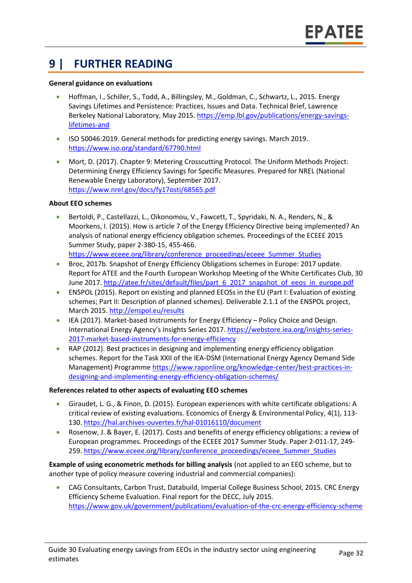### **9 | FURTHER READING**

#### **General guidance on evaluations**

- Hoffman, I., Schiller, S., Todd, A., Billingsley, M., Goldman, C., Schwartz, L., 2015. Energy Savings Lifetimes and Persistence: Practices, Issues and Data. Technical Brief, Lawrence Berkeley National Laboratory, May 2015[. https://emp.lbl.gov/publications/energy-savings](https://emp.lbl.gov/publications/energy-savings-lifetimes-and)[lifetimes-and](https://emp.lbl.gov/publications/energy-savings-lifetimes-and)
- ISO 50046:2019. General methods for predicting energy savings. March 2019. <https://www.iso.org/standard/67790.html>
- Mort, D. (2017). Chapter 9: Metering Crosscutting Protocol. The Uniform Methods Project: Determining Energy Efficiency Savings for Specific Measures. Prepared for NREL (National Renewable Energy Laboratory), September 2017. <https://www.nrel.gov/docs/fy17osti/68565.pdf>

#### **About EEO schemes**

- Bertoldi, P., Castellazzi, L., Oikonomou, V., Fawcett, T., Spyridaki, N. A., Renders, N., & Moorkens, I. (2015). How is article 7 of the Energy Efficiency Directive being implemented? An analysis of national energy efficiency obligation schemes. Proceedings of the ECEEE 2015 Summer Study, paper 2-380-15, 455-466. [https://www.eceee.org/library/conference\\_proceedings/eceee\\_Summer\\_Studies](https://www.eceee.org/library/conference_proceedings/eceee_Summer_Studies)
- Broc, 2017b. Snapshot of Energy Efficiency Obligations schemes in Europe: 2017 update. Report for ATEE and the Fourth European Workshop Meeting of the White Certificates Club, 30 June 2017. [http://atee.fr/sites/default/files/part\\_6\\_2017\\_snapshot\\_of\\_eeos\\_in\\_europe.pdf](http://atee.fr/sites/default/files/part_6_2017_snapshot_of_eeos_in_europe.pdf)
- ENSPOL (2015). Report on existing and planned EEOSs in the EU (Part I: Evaluation of existing schemes; Part II: Description of planned schemes). Deliverable 2.1.1 of the ENSPOL project, March 2015.<http://enspol.eu/results>
- IEA (2017). Market-based Instruments for Energy Efficiency Policy Choice and Design. International Energy Agency's Insights Series 2017[. https://webstore.iea.org/insights-series-](https://webstore.iea.org/insights-series-2017-market-based-instruments-for-energy-efficiency)[2017-market-based-instruments-for-energy-efficiency](https://webstore.iea.org/insights-series-2017-market-based-instruments-for-energy-efficiency)
- RAP (2012). Best practices in designing and implementing energy efficiency obligation schemes. Report for the Task XXII of the IEA-DSM (International Energy Agency Demand Side Management) Programme [https://www.raponline.org/knowledge-center/best-practices-in](https://www.raponline.org/knowledge-center/best-practices-in-designing-and-implementing-energy-efficiency-obligation-schemes/)[designing-and-implementing-energy-efficiency-obligation-schemes/](https://www.raponline.org/knowledge-center/best-practices-in-designing-and-implementing-energy-efficiency-obligation-schemes/)

#### **References related to other aspects of evaluating EEO schemes**

- Giraudet, L. G., & Finon, D. (2015). European experiences with white certificate obligations: A critical review of existing evaluations. Economics of Energy & Environmental Policy, 4(1), 113- 130.<https://hal.archives-ouvertes.fr/hal-01016110/document>
- Rosenow, J. & Bayer, E. (2017). Costs and benefits of energy efficiency obligations: a review of European programmes. Proceedings of the ECEEE 2017 Summer Study. Paper 2-011-17, 249- 259. [https://www.eceee.org/library/conference\\_proceedings/eceee\\_Summer\\_Studies](https://www.eceee.org/library/conference_proceedings/eceee_Summer_Studies)

**Example of using econometric methods for billing analysis** (not applied to an EEO scheme, but to another type of policy measure covering industrial and commercial companies):

• CAG Consultants, Carbon Trust, Databuild, Imperial College Business School, 2015. CRC Energy Efficiency Scheme Evaluation. Final report for the DECC, July 2015. <https://www.gov.uk/government/publications/evaluation-of-the-crc-energy-efficiency-scheme>